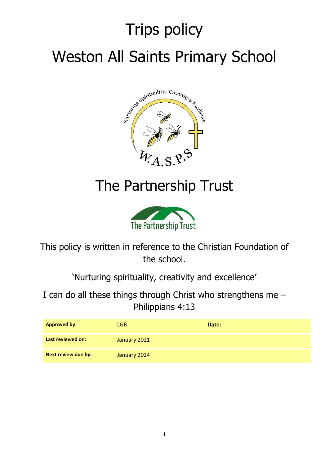# Trips policy Weston All Saints Primary School



# The Partnership Trust



This policy is written in reference to the Christian Foundation of the school.

'Nurturing spirituality, creativity and excellence'

I can do all these things through Christ who strengthens me – Philippians 4:13

| <b>Approved by:</b>        | LGB.         | Date: |
|----------------------------|--------------|-------|
| Last reviewed on:          | January 2021 |       |
| <b>Next review due by:</b> | January 2024 |       |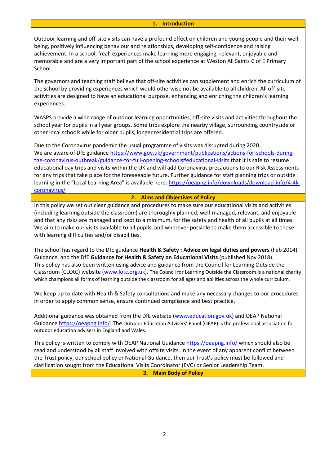#### **1. Introduction**

Outdoor learning and off-site visits can have a profound effect on children and young people and their wellbeing, positively influencing behaviour and relationships, developing self-confidence and raising achievement. In a school, 'real' experiences make learning more engaging, relevant, enjoyable and memorable and are a very important part of the school experience at Weston All Saints C of E Primary School.

The governors and teaching staff believe that off-site activities can supplement and enrich the curriculum of the school by providing experiences which would otherwise not be available to all children. All off-site activities are designed to have an educational purpose, enhancing and enriching the children's learning experiences.

WASPS provide a wide range of outdoor learning opportunities, off-site visits and activities throughout the school year for pupils in all year groups. Some trips explore the nearby village, surrounding countryside or other local schools while for older pupils, longer residential trips are offered.

Due to the Coronavirus pandemic the usual programme of visits was disrupted during 2020. We are aware of DfE guidance [https://www.gov.uk/government/publications/actions-for-schools-during](https://www.gov.uk/government/publications/actions-for-schools-during-the-coronavirus-outbreak/guidance-for-full-opening-schools#educational-visits)[the-coronavirus-outbreak/guidance-for-full-opening-schools#educational-visits](https://www.gov.uk/government/publications/actions-for-schools-during-the-coronavirus-outbreak/guidance-for-full-opening-schools#educational-visits) that it is safe to resume educational day trips and visits within the UK and will add Coronavirus precautions to our Risk Assessments for any trips that take place for the foreseeable future. Further guidance for staff planning trips or outside learning in the "Local Learning Area" is available here: [https://oeapng.info/downloads/download-info/4-4k](https://oeapng.info/downloads/download-info/4-4k-coronavirus/)[coronavirus/](https://oeapng.info/downloads/download-info/4-4k-coronavirus/)

#### **2. Aims and Objectives of Policy**

In this policy we set out clear guidance and procedures to make sure our educational visits and activities (including learning outside the classroom) are thoroughly planned, well-managed, relevant, and enjoyable and that any risks are managed and kept to a minimum, for the safety and health of all pupils at all times. We aim to make our visits available to all pupils, and wherever possible to make them accessible to those with learning difficulties and/or disabilities.

The school has regard to the DfE guidance **Health & Safety : Advice on legal duties and powers** (Feb 2014) Guidance, and the DfE **Guidance for Health & Safety on Educational Visits** (published Nov 2018). This policy has also been written using advice and guidance from the Council for Learning Outside the Classroom (CLOtC) website [\(www.lotc.org.uk\)](http://www.lotc.org.uk/). The Council for Learning Outside the Classroom is a national charity which champions all forms of learning outside the classroom for all ages and abilities across the whole curriculum.

We keep up to date with Health & Safety consultations and make any necessary changes to our procedures in order to apply common sense, ensure continued compliance and best practice.

Additional guidance was obtained from the DfE website [\(www.education.gov.uk\)](http://www.education.gov.uk/) and OEAP National Guidanc[e https://oeapng.info/.](https://oeapng.info/) The Outdoor Education Advisers' Panel (OEAP) is the professional association for outdoor education advisers in England and Wales.

This policy is written to comply with OEAP National Guidance<https://oeapng.info/> which should also be read and understood by all staff involved with offsite visits. In the event of any apparent conflict between the Trust policy, our school policy or National Guidance, then our Trust's policy must be followed and clarification sought from the Educational Visits Coordinator (EVC) or Senior Leadership Team.

**3. Main Body of Policy**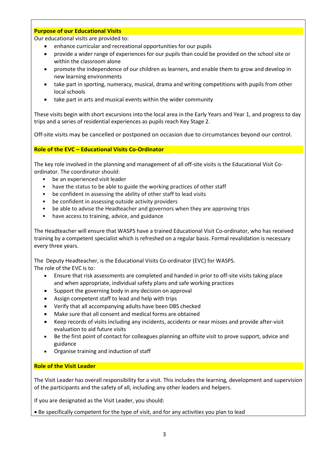#### **Purpose of our Educational Visits**

Our educational visits are provided to:

- enhance curricular and recreational opportunities for our pupils
- provide a wider range of experiences for our pupils than could be provided on the school site or within the classroom alone
- promote the independence of our children as learners, and enable them to grow and develop in new learning environments
- take part in sporting, numeracy, musical, drama and writing competitions with pupils from other local schools
- take part in arts and musical events within the wider community

These visits begin with short excursions into the local area in the Early Years and Year 1, and progress to day trips and a series of residential experiences as pupils reach Key Stage 2.

Off-site visits may be cancelled or postponed on occasion due to circumstances beyond our control.

**Role of the EVC – Educational Visits Co-Ordinator**

The key role involved in the planning and management of all off-site visits is the Educational Visit Coordinator. The coordinator should:

- be an experienced visit leader
- have the status to be able to guide the working practices of other staff
- be confident in assessing the ability of other staff to lead visits
- be confident in assessing outside activity providers
- be able to advise the Headteacher and governors when they are approving trips
- have access to training, advice, and guidance

The Headteacher will ensure that WASPS have a trained Educational Visit Co-ordinator, who has received training by a competent specialist which is refreshed on a regular basis. Formal revalidation is necessary every three years.

The Deputy Headteacher, is the Educational Visits Co-ordinator (EVC) for WASPS. The role of the EVC is to:

- Ensure that risk assessments are completed and handed in prior to off-site visits taking place and when appropriate, individual safety plans and safe working practices
- Support the governing body in any decision on approval
- Assign competent staff to lead and help with trips
- Verify that all accompanying adults have been DBS checked
- Make sure that all consent and medical forms are obtained
- Keep records of visits including any incidents, accidents or near misses and provide after-visit evaluation to aid future visits
- Be the first point of contact for colleagues planning an offsite visit to prove support, advice and guidance
- Organise training and induction of staff

#### **Role of the Visit Leader**

The Visit Leader has overall responsibility for a visit. This includes the learning, development and supervision of the participants and the safety of all, including any other leaders and helpers.

If you are designated as the Visit Leader, you should:

• Be specifically competent for the type of visit, and for any activities you plan to lead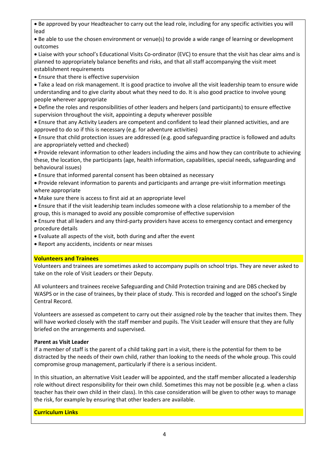• Be approved by your Headteacher to carry out the lead role, including for any specific activities you will lead

• Be able to use the chosen environment or venue(s) to provide a wide range of learning or development outcomes

• Liaise with your school's Educational Visits Co-ordinator (EVC) to ensure that the visit has clear aims and is planned to appropriately balance benefits and risks, and that all staff accompanying the visit meet establishment requirements

• Ensure that there is effective supervision

• Take a lead on risk management. It is good practice to involve all the visit leadership team to ensure wide understanding and to give clarity about what they need to do. It is also good practice to involve young people wherever appropriate

• Define the roles and responsibilities of other leaders and helpers (and participants) to ensure effective supervision throughout the visit, appointing a deputy wherever possible

• Ensure that any Activity Leaders are competent and confident to lead their planned activities, and are approved to do so if this is necessary (e.g. for adventure activities)

• Ensure that child protection issues are addressed (e.g. good safeguarding practice is followed and adults are appropriately vetted and checked)

• Provide relevant information to other leaders including the aims and how they can contribute to achieving these, the location, the participants (age, health information, capabilities, special needs, safeguarding and behavioural issues)

• Ensure that informed parental consent has been obtained as necessary

• Provide relevant information to parents and participants and arrange pre-visit information meetings where appropriate

• Make sure there is access to first aid at an appropriate level

• Ensure that if the visit leadership team includes someone with a close relationship to a member of the group, this is managed to avoid any possible compromise of effective supervision

• Ensure that all leaders and any third-party providers have access to emergency contact and emergency procedure details

• Evaluate all aspects of the visit, both during and after the event

• Report any accidents, incidents or near misses

#### **Volunteers and Trainees**

Volunteers and trainees are sometimes asked to accompany pupils on school trips. They are never asked to take on the role of Visit Leaders or their Deputy.

All volunteers and trainees receive Safeguarding and Child Protection training and are DBS checked by WASPS or in the case of trainees, by their place of study. This is recorded and logged on the school's Single Central Record.

Volunteers are assessed as competent to carry out their assigned role by the teacher that invites them. They will have worked closely with the staff member and pupils. The Visit Leader will ensure that they are fully briefed on the arrangements and supervised.

#### **Parent as Visit Leader**

If a member of staff is the parent of a child taking part in a visit, there is the potential for them to be distracted by the needs of their own child, rather than looking to the needs of the whole group. This could compromise group management, particularly if there is a serious incident.

In this situation, an alternative Visit Leader will be appointed, and the staff member allocated a leadership role without direct responsibility for their own child. Sometimes this may not be possible (e.g. when a class teacher has their own child in their class). In this case consideration will be given to other ways to manage the risk, for example by ensuring that other leaders are available.

#### **Curriculum Links**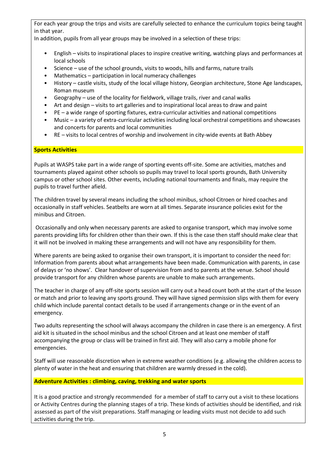For each year group the trips and visits are carefully selected to enhance the curriculum topics being taught in that year.

In addition, pupils from all year groups may be involved in a selection of these trips:

- English visits to inspirational places to inspire creative writing, watching plays and performances at local schools
- Science use of the school grounds, visits to woods, hills and farms, nature trails
- Mathematics participation in local numeracy challenges
- History castle visits, study of the local village history, Georgian architecture, Stone Age landscapes, Roman museum
- Geography use of the locality for fieldwork, village trails, river and canal walks
- Art and design visits to art galleries and to inspirational local areas to draw and paint
- PE a wide range of sporting fixtures, extra-curricular activities and national competitions
- Music a variety of extra-curricular activities including local orchestral competitions and showcases and concerts for parents and local communities
- RE visits to local centres of worship and involvement in city-wide events at Bath Abbey

#### **Sports Activities**

Pupils at WASPS take part in a wide range of sporting events off-site. Some are activities, matches and tournaments played against other schools so pupils may travel to local sports grounds, Bath University campus or other school sites. Other events, including national tournaments and finals, may require the pupils to travel further afield.

The children travel by several means including the school minibus, school Citroen or hired coaches and occasionally in staff vehicles. Seatbelts are worn at all times. Separate insurance policies exist for the minibus and Citroen.

Occasionally and only when necessary parents are asked to organise transport, which may involve some parents providing lifts for children other than their own. If this is the case then staff should make clear that it will not be involved in making these arrangements and will not have any responsibility for them.

Where parents are being asked to organise their own transport, it is important to consider the need for: Information from parents about what arrangements have been made. Communication with parents, in case of delays or 'no shows'. Clear handover of supervision from and to parents at the venue. School should provide transport for any children whose parents are unable to make such arrangements.

The teacher in charge of any off-site sports session will carry out a head count both at the start of the lesson or match and prior to leaving any sports ground. They will have signed permission slips with them for every child which include parental contact details to be used if arrangements change or in the event of an emergency.

Two adults representing the school will always accompany the children in case there is an emergency. A first aid kit is situated in the school minibus and the school Citroen and at least one member of staff accompanying the group or class will be trained in first aid. They will also carry a mobile phone for emergencies.

Staff will use reasonable discretion when in extreme weather conditions (e.g. allowing the children access to plenty of water in the heat and ensuring that children are warmly dressed in the cold).

#### **Adventure Activities : climbing, caving, trekking and water sports**

It is a good practice and strongly recommended for a member of staff to carry out a visit to these locations or Activity Centres during the planning stages of a trip. These kinds of activities should be identified, and risk assessed as part of the visit preparations. Staff managing or leading visits must not decide to add such activities during the trip.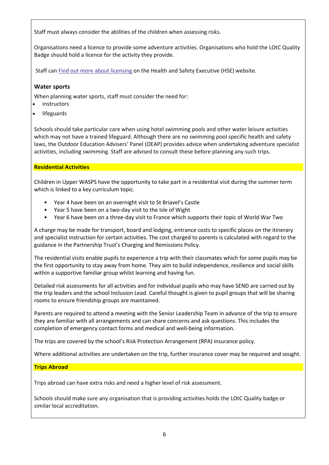Staff must always consider the abilities of the children when assessing risks.

Organisations need a licence to provide some adventure activities. Organisations who hold the LOtC Quality Badge should hold a licence for the activity they provide.

Staff can Find out more about [licensing](http://www.hse.gov.uk/aala/public-information.htm) on the Health and Safety Executive (HSE) website.

#### **Water sports**

When planning water sports, staff must consider the need for:

- **instructors**
- **lifeguards**

Schools should take particular care when using hotel swimming pools and other water leisure activities which may not have a trained lifeguard. Although there are no swimming pool specific health and safety laws, the Outdoor Education Advisers' Panel (OEAP) provides advice when undertaking adventure specialist activities, including swimming. Staff are advised to consult these before planning any such trips.

#### **Residential Activities**

Children in Upper WASPS have the opportunity to take part in a residential visit during the summer term which is linked to a key curriculum topic.

- Year 4 have been on an overnight visit to St Briavel's Castle
- Year 5 have been on a two-day visit to the Isle of Wight
- Year 6 have been on a three-day visit to France which supports their topic of World War Two

A charge may be made for transport, board and lodging, entrance costs to specific places on the itinerary and specialist instruction for certain activities. The cost charged to parents is calculated with regard to the guidance in the Partnership Trust's Charging and Remissions Policy.

The residential visits enable pupils to experience a trip with their classmates which for some pupils may be the first opportunity to stay away from home. They aim to build independence, resilience and social skills within a supportive familiar group whilst learning and having fun.

Detailed risk assessments for all activities and for individual pupils who may have SEND are carried out by the trip leaders and the school Inclusion Lead. Careful thought is given to pupil groups that will be sharing rooms to ensure friendship groups are maintained.

Parents are required to attend a meeting with the Senior Leadership Team in advance of the trip to ensure they are familiar with all arrangements and can share concerns and ask questions. This includes the completion of emergency contact forms and medical and well-being information.

The trips are covered by the school's Risk Protection Arrangement (RPA) insurance policy.

Where additional activities are undertaken on the trip, further insurance cover may be required and sought.

# **Trips Abroad**

Trips abroad can have extra risks and need a higher level of risk assessment.

Schools should make sure any organisation that is providing activities holds the LOtC Quality badge or similar local accreditation.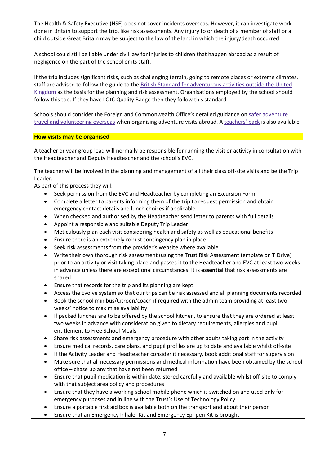The Health & Safety Executive (HSE) does not cover incidents overseas. However, it can investigate work done in Britain to support the trip, like risk assessments. Any injury to or death of a member of staff or a child outside Great Britain may be subject to the law of the land in which the injury/death occurred.

A school could still be liable under civil law for injuries to children that happen abroad as a result of negligence on the part of the school or its staff.

If the trip includes significant risks, such as challenging terrain, going to remote places or extreme climates, staff are advised to follow the guide to the British Standard for [adventurous](https://www.bsigroup.com/en-GB/about-bsi/uk-national-standards-body/what-is-the-national-standards-body/why-standards-matter-for-consumers/consumer-resources/) activities outside the United [Kingdom](https://www.bsigroup.com/en-GB/about-bsi/uk-national-standards-body/what-is-the-national-standards-body/why-standards-matter-for-consumers/consumer-resources/) as the basis for the planning and risk assessment. Organisations employed by the school should follow this too. If they have LOtC Quality Badge then they follow this standard.

Schools should consider the Foreign and Commonwealth Office's detailed guidance on safer [adventure](https://www.gov.uk/safer-adventure-travel-and-volunteering-overseas) travel and [volunteering](https://www.gov.uk/safer-adventure-travel-and-volunteering-overseas) overseas when organising adventure visits abroad. A [teachers'](https://www.gov.uk/teachers-pack) pack is also available.

#### **How visits may be organised**

A teacher or year group lead will normally be responsible for running the visit or activity in consultation with the Headteacher and Deputy Headteacher and the school's EVC.

The teacher will be involved in the planning and management of all their class off-site visits and be the Trip Leader.

As part of this process they will:

- Seek permission from the EVC and Headteacher by completing an Excursion Form
- Complete a letter to parents informing them of the trip to request permission and obtain emergency contact details and lunch choices if applicable
- When checked and authorised by the Headteacher send letter to parents with full details
- Appoint a responsible and suitable Deputy Trip Leader
- Meticulously plan each visit considering health and safety as well as educational benefits
- Ensure there is an extremely robust contingency plan in place
- Seek risk assessments from the provider's website where available
- Write their own thorough risk assessment (using the Trust Risk Assessment template on T:Drive) prior to an activity or visit taking place and passes it to the Headteacher and EVC at least two weeks in advance unless there are exceptional circumstances. It is **essential** that risk assessments are shared
- Ensure that records for the trip and its planning are kept
- Access the Evolve system so that our trips can be risk assessed and all planning documents recorded
- Book the school minibus/Citroen/coach if required with the admin team providing at least two weeks' notice to maximise availability
- If packed lunches are to be offered by the school kitchen, to ensure that they are ordered at least two weeks in advance with consideration given to dietary requirements, allergies and pupil entitlement to Free School Meals
- Share risk assessments and emergency procedure with other adults taking part in the activity
- Ensure medical records, care plans, and pupil profiles are up to date and available whilst off-site
- If the Activity Leader and Headteacher consider it necessary, book additional staff for supervision
- Make sure that all necessary permissions and medical information have been obtained by the school office – chase up any that have not been returned
- Ensure that pupil medication is within date, stored carefully and available whilst off-site to comply with that subject area policy and procedures
- Ensure that they have a working school mobile phone which is switched on and used only for emergency purposes and in line with the Trust's Use of Technology Policy
- Ensure a portable first aid box is available both on the transport and about their person
- Ensure that an Emergency Inhaler Kit and Emergency Epi-pen Kit is brought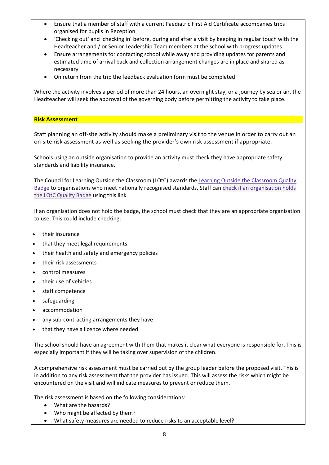- Ensure that a member of staff with a current Paediatric First Aid Certificate accompanies trips organised for pupils in Reception
- 'Checking out' and 'checking in' before, during and after a visit by keeping in regular touch with the Headteacher and / or Senior Leadership Team members at the school with progress updates
- Ensure arrangements for contacting school while away and providing updates for parents and estimated time of arrival back and collection arrangement changes are in place and shared as necessary
- On return from the trip the feedback evaluation form must be completed

Where the activity involves a period of more than 24 hours, an overnight stay, or a journey by sea or air, the Headteacher will seek the approval of the governing body before permitting the activity to take place.

#### **Risk Assessment**

Staff planning an off-site activity should make a preliminary visit to the venue in order to carry out an on-site risk assessment as well as seeking the provider's own risk assessment if appropriate.

Schools using an outside organisation to provide an activity must check they have appropriate safety standards and liability insurance.

The Council for Learning Outside the Classroom (LOtC) awards the Learning Outside the [Classroom](http://lotcqualitybadge.org.uk/) Quality [Badge](http://lotcqualitybadge.org.uk/) to [organisation](http://lotcqualitybadge.org.uk/search)s who meet nationally recognised standards. Staff can check if an organisation holds the LOtC [Quality](http://lotcqualitybadge.org.uk/search) Badge using this link.

If an organisation does not hold the badge, the school must check that they are an appropriate organisation to use. This could include checking:

- their insurance
- that they meet legal requirements
- their health and safety and emergency policies
- their risk assessments
- control measures
- their use of vehicles
- staff competence
- safeguarding
- accommodation
- any sub-contracting arrangements they have
- that they have a licence where needed

The school should have an agreement with them that makes it clear what everyone is responsible for. This is especially important if they will be taking over supervision of the children.

A comprehensive risk assessment must be carried out by the group leader before the proposed visit. This is in addition to any risk assessment that the provider has issued. This will assess the risks which might be encountered on the visit and will indicate measures to prevent or reduce them.

The risk assessment is based on the following considerations:

- What are the hazards?
- Who might be affected by them?
- What safety measures are needed to reduce risks to an acceptable level?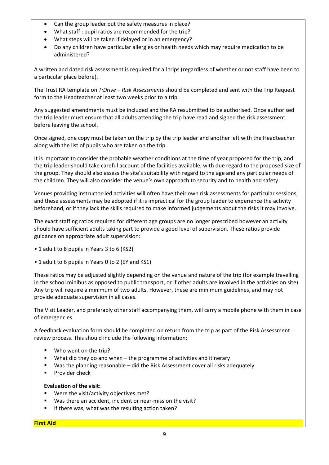- Can the group leader put the safety measures in place?
- What staff : pupil ratios are recommended for the trip?
- What steps will be taken if delayed or in an emergency?
- Do any children have particular allergies or health needs which may require medication to be administered?

A written and dated risk assessment is required for all trips (regardless of whether or not staff have been to a particular place before).

The Trust RA template on *T:Drive – Risk Assessments* should be completed and sent with the Trip Request form to the Headteacher at least two weeks prior to a trip.

Any suggested amendments must be included and the RA resubmitted to be authorised. Once authorised the trip leader must ensure that all adults attending the trip have read and signed the risk assessment before leaving the school.

Once signed, one copy must be taken on the trip by the trip leader and another left with the Headteacher along with the list of pupils who are taken on the trip.

It is important to consider the probable weather conditions at the time of year proposed for the trip, and the trip leader should take careful account of the facilities available, with due regard to the proposed size of the group. They should also assess the site's suitability with regard to the age and any particular needs of the children. They will also consider the venue's own approach to security and to health and safety.

Venues providing instructor-led activities will often have their own risk assessments for particular sessions, and these assessments may be adopted if it is impractical for the group leader to experience the activity beforehand, or if they lack the skills required to make informed judgements about the risks it may involve.

The exact staffing ratios required for different age groups are no longer prescribed however an activity should have sufficient adults taking part to provide a good level of supervision. These ratios provide guidance on appropriate adult supervision:

- 1 adult to 8 pupils in Years 3 to 6 (KS2)
- 1 adult to 6 pupils in Years 0 to 2 (EY and KS1)

These ratios may be adjusted slightly depending on the venue and nature of the trip (for example travelling in the school minibus as opposed to public transport, or if other adults are involved in the activities on site). Any trip will require a minimum of two adults. However, these are minimum guidelines, and may not provide adequate supervision in all cases.

The Visit Leader, and preferably other staff accompanying them, will carry a mobile phone with them in case of emergencies.

A feedback evaluation form should be completed on return from the trip as part of the Risk Assessment review process. This should include the following information:

- Who went on the trip?
- What did they do and when  $-$  the programme of activities and itinerary
- Was the planning reasonable did the Risk Assessment cover all risks adequately
- Provider check

#### **Evaluation of the visit:**

- Were the visit/activity objectives met?
- Was there an accident, incident or near-miss on the visit?
- If there was, what was the resulting action taken?

**First Aid**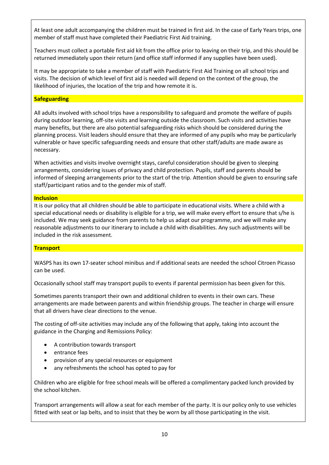At least one adult accompanying the children must be trained in first aid. In the case of Early Years trips, one member of staff must have completed their Paediatric First Aid training.

Teachers must collect a portable first aid kit from the office prior to leaving on their trip, and this should be returned immediately upon their return (and office staff informed if any supplies have been used).

It may be appropriate to take a member of staff with Paediatric First Aid Training on all school trips and visits. The decision of which level of first aid is needed will depend on the context of the group, the likelihood of injuries, the location of the trip and how remote it is.

#### **Safeguarding**

All adults involved with school trips have a responsibility to safeguard and promote the welfare of pupils during outdoor learning, off-site visits and learning outside the classroom. Such visits and activities have many benefits, but there are also potential safeguarding risks which should be considered during the planning process. Visit leaders should ensure that they are informed of any pupils who may be particularly vulnerable or have specific safeguarding needs and ensure that other staff/adults are made aware as necessary.

When activities and visits involve overnight stays, careful consideration should be given to sleeping arrangements, considering issues of privacy and child protection. Pupils, staff and parents should be informed of sleeping arrangements prior to the start of the trip. Attention should be given to ensuring safe staff/participant ratios and to the gender mix of staff.

#### **Inclusion**

It is our policy that all children should be able to participate in educational visits. Where a child with a special educational needs or disability is eligible for a trip, we will make every effort to ensure that s/he is included. We may seek guidance from parents to help us adapt our programme, and we will make any reasonable adjustments to our itinerary to include a child with disabilities. Any such adjustments will be included in the risk assessment.

#### **Transport**

WASPS has its own 17-seater school minibus and if additional seats are needed the school Citroen Picasso can be used.

Occasionally school staff may transport pupils to events if parental permission has been given for this.

Sometimes parents transport their own and additional children to events in their own cars. These arrangements are made between parents and within friendship groups. The teacher in charge will ensure that all drivers have clear directions to the venue.

The costing of off-site activities may include any of the following that apply, taking into account the guidance in the Charging and Remissions Policy:

- A contribution towards transport
- entrance fees
- provision of any special resources or equipment
- any refreshments the school has opted to pay for

Children who are eligible for free school meals will be offered a complimentary packed lunch provided by the school kitchen.

Transport arrangements will allow a seat for each member of the party. It is our policy only to use vehicles fitted with seat or lap belts, and to insist that they be worn by all those participating in the visit.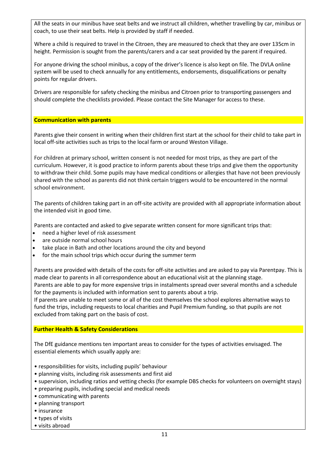All the seats in our minibus have seat belts and we instruct all children, whether travelling by car, minibus or coach, to use their seat belts. Help is provided by staff if needed.

Where a child is required to travel in the Citroen, they are measured to check that they are over 135cm in height. Permission is sought from the parents/carers and a car seat provided by the parent if required.

For anyone driving the school minibus, a copy of the driver's licence is also kept on file. The DVLA online system will be used to check annually for any entitlements, endorsements, disqualifications or penalty points for regular drivers.

Drivers are responsible for safety checking the minibus and Citroen prior to transporting passengers and should complete the checklists provided. Please contact the Site Manager for access to these.

#### **Communication with parents**

Parents give their consent in writing when their children first start at the school for their child to take part in local off-site activities such as trips to the local farm or around Weston Village.

For children at primary school, written consent is not needed for most trips, as they are part of the curriculum. However, it is good practice to inform parents about these trips and give them the opportunity to withdraw their child. Some pupils may have medical conditions or allergies that have not been previously shared with the school as parents did not think certain triggers would to be encountered in the normal school environment.

The parents of children taking part in an off-site activity are provided with all appropriate information about the intended visit in good time.

Parents are contacted and asked to give separate written consent for more significant trips that:

- need a higher level of risk assessment
- are outside normal school hours
- take place in Bath and other locations around the city and beyond
- for the main school trips which occur during the summer term

Parents are provided with details of the costs for off-site activities and are asked to pay via Parentpay. This is made clear to parents in all correspondence about an educational visit at the planning stage. Parents are able to pay for more expensive trips in instalments spread over several months and a schedule for the payments is included with information sent to parents about a trip.

If parents are unable to meet some or all of the cost themselves the school explores alternative ways to fund the trips, including requests to local charities and Pupil Premium funding, so that pupils are not excluded from taking part on the basis of cost.

#### **Further Health & Safety Considerations**

The DfE guidance mentions ten important areas to consider for the types of activities envisaged. The essential elements which usually apply are:

- responsibilities for visits, including pupils' behaviour
- planning visits, including risk assessments and first aid
- supervision, including ratios and vetting checks (for example DBS checks for volunteers on overnight stays)
- preparing pupils, including special and medical needs
- communicating with parents
- planning transport
- insurance
- types of visits
- visits abroad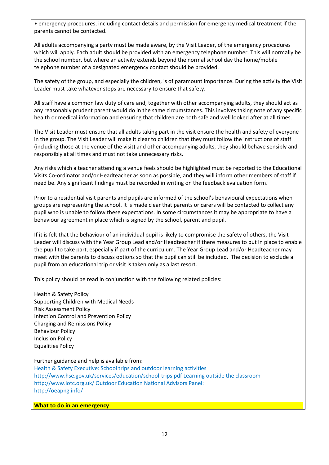• emergency procedures, including contact details and permission for emergency medical treatment if the parents cannot be contacted.

All adults accompanying a party must be made aware, by the Visit Leader, of the emergency procedures which will apply. Each adult should be provided with an emergency telephone number. This will normally be the school number, but where an activity extends beyond the normal school day the home/mobile telephone number of a designated emergency contact should be provided.

The safety of the group, and especially the children, is of paramount importance. During the activity the Visit Leader must take whatever steps are necessary to ensure that safety.

All staff have a common law duty of care and, together with other accompanying adults, they should act as any reasonably prudent parent would do in the same circumstances. This involves taking note of any specific health or medical information and ensuring that children are both safe and well looked after at all times.

The Visit Leader must ensure that all adults taking part in the visit ensure the health and safety of everyone in the group. The Visit Leader will make it clear to children that they must follow the instructions of staff (including those at the venue of the visit) and other accompanying adults, they should behave sensibly and responsibly at all times and must not take unnecessary risks.

Any risks which a teacher attending a venue feels should be highlighted must be reported to the Educational Visits Co-ordinator and/or Headteacher as soon as possible, and they will inform other members of staff if need be. Any significant findings must be recorded in writing on the feedback evaluation form.

Prior to a residential visit parents and pupils are informed of the school's behavioural expectations when groups are representing the school. It is made clear that parents or carers will be contacted to collect any pupil who is unable to follow these expectations. In some circumstances it may be appropriate to have a behaviour agreement in place which is signed by the school, parent and pupil.

If it is felt that the behaviour of an individual pupil is likely to compromise the safety of others, the Visit Leader will discuss with the Year Group Lead and/or Headteacher if there measures to put in place to enable the pupil to take part, especially if part of the curriculum. The Year Group Lead and/or Headteacher may meet with the parents to discuss options so that the pupil can still be included. The decision to exclude a pupil from an educational trip or visit is taken only as a last resort.

This policy should be read in conjunction with the following related policies:

Health & Safety Policy Supporting Children with Medical Needs Risk Assessment Policy Infection Control and Prevention Policy Charging and Remissions Policy Behaviour Policy Inclusion Policy Equalities Policy

#### Further guidance and help is available from:

Health & Safety Executive: School trips and outdoor learning activities http://www.hse.gov.uk/services/education/school-trips.pdf Learning outside the classroom http://www.lotc.org.uk/ Outdoor Education National Advisors Panel: http://oeapng.info/

#### **What to do in an emergency**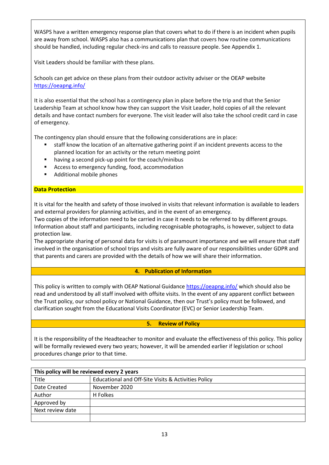WASPS have a written emergency response plan that covers what to do if there is an incident when pupils are away from school. WASPS also has a communications plan that covers how routine communications should be handled, including regular check-ins and calls to reassure people. See Appendix 1.

Visit Leaders should be familiar with these plans.

Schools can get advice on these plans from their outdoor activity adviser or the OEAP [website](https://oeapng.info/) <https://oeapng.info/>

It is also essential that the school has a contingency plan in place before the trip and that the Senior Leadership Team at school know how they can support the Visit Leader, hold copies of all the relevant details and have contact numbers for everyone. The visit leader will also take the school credit card in case of emergency.

The contingency plan should ensure that the following considerations are in place:

- staff know the location of an alternative gathering point if an incident prevents access to the planned location for an activity or the return meeting point
- having a second pick-up point for the coach/minibus
- Access to emergency funding, food, accommodation
- Additional mobile phones

#### **Data Protection**

It is vital for the health and safety of those involved in visits that relevant information is available to leaders and external providers for planning activities, and in the event of an emergency.

Two copies of the information need to be carried in case it needs to be referred to by different groups. Information about staff and participants, including recognisable photographs, is however, subject to data protection law.

The appropriate sharing of personal data for visits is of paramount importance and we will ensure that staff involved in the organisation of school trips and visits are fully aware of our responsibilities under GDPR and that parents and carers are provided with the details of how we will share their information.

#### **4. Publication of Information**

This policy is written to comply with OEAP National Guidance <https://oeapng.info/> which should also be read and understood by all staff involved with offsite visits. In the event of any apparent conflict between the Trust policy, our school policy or National Guidance, then our Trust's policy must be followed, and clarification sought from the Educational Visits Coordinator (EVC) or Senior Leadership Team.

#### **5. Review of Policy**

It is the responsibility of the Headteacher to monitor and evaluate the effectiveness of this policy. This policy will be formally reviewed every two years; however, it will be amended earlier if legislation or school procedures change prior to that time.

| This policy will be reviewed every 2 years |                                                     |  |
|--------------------------------------------|-----------------------------------------------------|--|
| Title                                      | Educational and Off-Site Visits & Activities Policy |  |
| Date Created                               | November 2020                                       |  |
| Author                                     | H Folkes                                            |  |
| Approved by                                |                                                     |  |
| Next review date                           |                                                     |  |
|                                            |                                                     |  |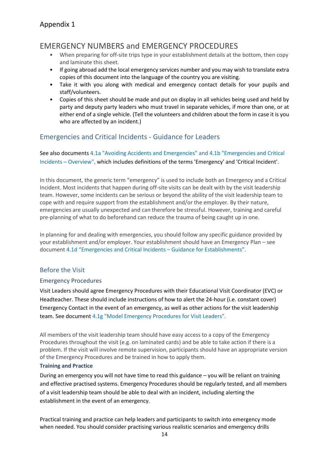# Appendix 1

# EMERGENCY NUMBERS and EMERGENCY PROCEDURES

- When preparing for off-site trips type in your establishment details at the bottom, then copy and laminate this sheet.
- If going abroad add the local emergency services number and you may wish to translate extra copies of this document into the language of the country you are visiting.
- Take it with you along with medical and emergency contact details for your pupils and staff/volunteers.
- Copies of this sheet should be made and put on display in all vehicles being used and held by party and deputy party leaders who must travel in separate vehicles, if more than one, or at either end of a single vehicle. (Tell the volunteers and children about the form in case it is you who are affected by an incident.)

# Emergencies and Critical Incidents - Guidance for Leaders

See also documents 4.1a "Avoiding Accidents and Emergencies" and 4.1b "Emergencies and Critical Incidents – Overview", which includes definitions of the terms 'Emergency' and 'Critical Incident'.

In this document, the generic term "emergency" is used to include both an Emergency and a Critical Incident. Most incidents that happen during off-site visits can be dealt with by the visit leadership team. However, some incidents can be serious or beyond the ability of the visit leadership team to cope with and require support from the establishment and/or the employer. By their nature, emergencies are usually unexpected and can therefore be stressful. However, training and careful pre-planning of what to do beforehand can reduce the trauma of being caught up in one.

In planning for and dealing with emergencies, you should follow any specific guidance provided by your establishment and/or employer. Your establishment should have an Emergency Plan – see document 4.1d "Emergencies and Critical Incidents – Guidance for Establishments".

# Before the Visit

#### Emergency Procedures

Visit Leaders should agree Emergency Procedures with their Educational Visit Coordinator (EVC) or Headteacher. These should include instructions of how to alert the 24-hour (i.e. constant cover) Emergency Contact in the event of an emergency, as well as other actions for the visit leadership team. See document 4.1g "Model Emergency Procedures for Visit Leaders".

All members of the visit leadership team should have easy access to a copy of the Emergency Procedures throughout the visit (e.g. on laminated cards) and be able to take action if there is a problem. If the visit will involve remote supervision, participants should have an appropriate version of the Emergency Procedures and be trained in how to apply them.

#### **Training and Practice**

During an emergency you will not have time to read this guidance – you will be reliant on training and effective practised systems. Emergency Procedures should be regularly tested, and all members of a visit leadership team should be able to deal with an incident, including alerting the establishment in the event of an emergency.

Practical training and practice can help leaders and participants to switch into emergency mode when needed. You should consider practising various realistic scenarios and emergency drills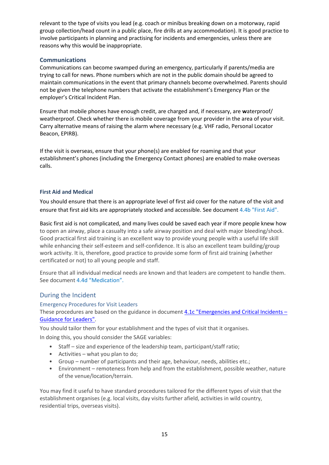relevant to the type of visits you lead (e.g. coach or minibus breaking down on a motorway, rapid group collection/head count in a public place, fire drills at any accommodation). It is good practice to involve participants in planning and practising for incidents and emergencies, unless there are reasons why this would be inappropriate.

#### **Communications**

Communications can become swamped during an emergency, particularly if parents/media are trying to call for news. Phone numbers which are not in the public domain should be agreed to maintain communications in the event that primary channels become overwhelmed. Parents should not be given the telephone numbers that activate the establishment's Emergency Plan or the employer's Critical Incident Plan.

Ensure that mobile phones have enough credit, are charged and, if necessary, are **w**aterproof/ weatherproof. Check whether there is mobile coverage from your provider in the area of your visit. Carry alternative means of raising the alarm where necessary (e.g. VHF radio, Personal Locator Beacon, EPIRB).

If the visit is overseas, ensure that your phone(s) are enabled for roaming and that your establishment's phones (including the Emergency Contact phones) are enabled to make overseas calls.

#### **First Aid and Medical**

You should ensure that there is an appropriate level of first aid cover for the nature of the visit and ensure that first aid kits are appropriately stocked and accessible. See document 4.4b "First Aid".

Basic first aid is not complicated, and many lives could be saved each year if more people knew how to open an airway, place a casualty into a safe airway position and deal with major bleeding/shock. Good practical first aid training is an excellent way to provide young people with a useful life skill while enhancing their self-esteem and self-confidence. It is also an excellent team building/group work activity. It is, therefore, good practice to provide some form of first aid training (whether certificated or not) to all young people and staff.

Ensure that all individual medical needs are known and that leaders are competent to handle them. See document 4.4d "Medication".

# During the Incident

#### Emergency Procedures for Visit Leaders

These procedures are based on the guidance in documen[t 4.1c "Emergencies and Critical Incidents](https://oeapng.info/downloads/download-info/4-1c-emergency-procedures-for-visit-leaders/) – [Guidance for Leaders".](https://oeapng.info/downloads/download-info/4-1c-emergency-procedures-for-visit-leaders/)

You should tailor them for your establishment and the types of visit that it organises. In doing this, you should consider the SAGE variables:

- Staff size and experience of the leadership team, participant/staff ratio;
- Activities what you plan to do;
- Group number of participants and their age, behaviour, needs, abilities etc.;
- Environment remoteness from help and from the establishment, possible weather, nature of the venue/location/terrain.

You may find it useful to have standard procedures tailored for the different types of visit that the establishment organises (e.g. local visits, day visits further afield, activities in wild country, residential trips, overseas visits).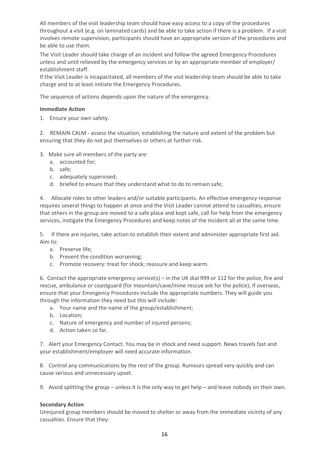All members of the visit leadership team should have easy access to a copy of the procedures throughout a visit (e.g. on laminated cards) and be able to take action if there is a problem.If a visit involves remote supervision, participants should have an appropriate version of the procedures and be able to use them.

The Visit Leader should take charge of an incident and follow the agreed Emergency Procedures unless and until relieved by the emergency services or by an appropriate member of employer/ establishment staff.

If the Visit Leader is incapacitated, all members of the visit leadership team should be able to take charge and to at least initiate the Emergency Procedures.

The sequence of actions depends upon the nature of the emergency.

#### **Immediate Action**

1. Ensure your own safety.

2. REMAIN CALM - assess the situation, establishing the nature and extent of the problem but ensuring that they do not put themselves or others at further risk.

3. Make sure all members of the party are:

- a. accounted for;
- b. safe;
- c. adequately supervised;
- d. briefed to ensure that they understand what to do to remain safe;

4. Allocate roles to other leaders and/or suitable participants. An effective emergency response requires several things to happen at once and the Visit Leader cannot attend to casualties, ensure that others in the group are moved to a safe place and kept safe, call for help from the emergency services, instigate the Emergency Procedures and keep notes of the incident all at the same time.

5. If there are injuries, take action to establish their extent and administer appropriate first aid. Aim to:

- a. Preserve life;
- b. Prevent the condition worsening;
- c. Promote recovery: treat for shock; reassure and keep warm.

6. Contact the appropriate emergency service(s) – in the UK dial 999 or 112 for the police, fire and rescue, ambulance or coastguard (for mountain/cave/mine rescue ask for the police); if overseas, ensure that your Emergency Procedures include the appropriate numbers. They will guide you through the information they need but this will include:

- a. Your name and the name of the group/establishment;
- b. Location;
- c. Nature of emergency and number of injured persons;
- d. Action taken so far.

7. Alert your Emergency Contact. You may be in shock and need support. News travels fast and your establishment/employer will need accurate information.

8. Control any communications by the rest of the group. Rumours spread very quickly and can cause serious and unnecessary upset.

9. Avoid splitting the group – unless it is the only way to get help – and leave nobody on their own.

#### **Secondary Action**

Uninjured group members should be moved to shelter or away from the immediate vicinity of any casualties. Ensure that they: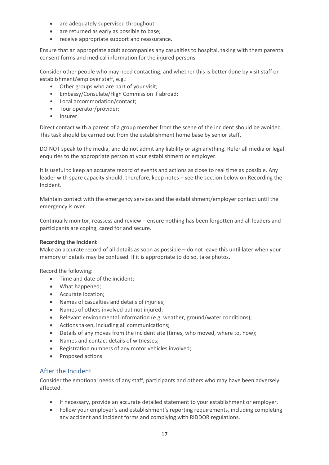- are adequately supervised throughout;
- are returned as early as possible to base;
- receive appropriate support and reassurance.

Ensure that an appropriate adult accompanies any casualties to hospital, taking with them parental consent forms and medical information for the injured persons.

Consider other people who may need contacting, and whether this is better done by visit staff or establishment/employer staff, e.g.:

- Other groups who are part of your visit;
- Embassy/Consulate/High Commission if abroad;
- Local accommodation/contact;
- Tour operator/provider;
- Insurer.

Direct contact with a parent of a group member from the scene of the incident should be avoided. This task should be carried out from the establishment home base by senior staff.

DO NOT speak to the media, and do not admit any liability or sign anything. Refer all media or legal enquiries to the appropriate person at your establishment or employer.

It is useful to keep an accurate record of events and actions as close to real time as possible. Any leader with spare capacity should, therefore, keep notes – see the section below on Recording the Incident.

Maintain contact with the emergency services and the establishment/employer contact until the emergency is over.

Continually monitor, reassess and review – ensure nothing has been forgotten and all leaders and participants are coping, cared for and secure.

#### **Recording the Incident**

Make an accurate record of all details as soon as possible – do not leave this until later when your memory of details may be confused. If it is appropriate to do so, take photos.

Record the following:

- Time and date of the incident;
- What happened;
- Accurate location;
- Names of casualties and details of injuries;
- Names of others involved but not injured;
- Relevant environmental information (e.g. weather, ground/water conditions);
- Actions taken, including all communications;
- Details of any moves from the incident site (times, who moved, where to, how);
- Names and contact details of witnesses;
- Registration numbers of any motor vehicles involved;
- Proposed actions.

#### After the Incident

Consider the emotional needs of any staff, participants and others who may have been adversely affected.

- If necessary, provide an accurate detailed statement to your establishment or employer.
- Follow your employer's and establishment's reporting requirements, including completing any accident and incident forms and complying with RIDDOR regulations.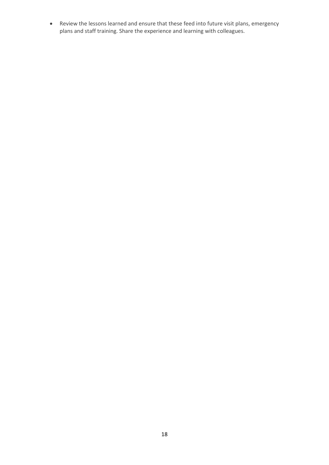• Review the lessons learned and ensure that these feed into future visit plans, emergency plans and staff training. Share the experience and learning with colleagues.